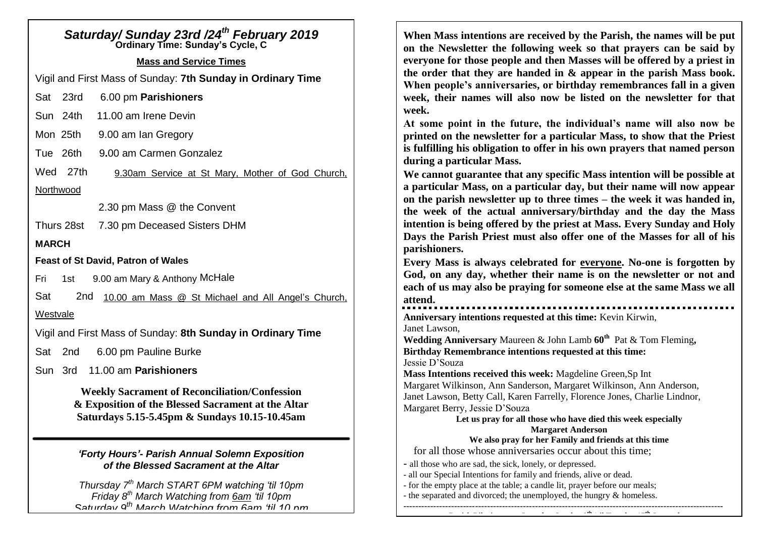# *Saturday/ Sunday 23rd /24th February 2019* **Ordinary Time: Sunday's Cycle, C Mass and Service Times** Vigil and First Mass of Sunday: **7th Sunday in Ordinary Time** Sat 23rd 6.00 pm **Parishioners** Sun 24th 11.00 am Irene Devin Mon 25th 9.00 am Ian Gregory Tue 26th 9**.**00 am Carmen Gonzalez Wed 27th 9.30am Service at St Mary, Mother of God Church, **Northwood** 2.30 pm Mass @ the Convent Thurs 28st 7.30 pm Deceased Sisters DHM **MARCH Feast of St David, Patron of Wales** Fri 1st 9.00 am Mary & Anthony McHale Sat 2nd 10.00 am Mass @ St Michael and All Angel's Church, Westvale Vigil and First Mass of Sunday: **8th Sunday in Ordinary Time** Sat 2nd 6.00 pm Pauline Burke Sun 3rd 11.00 am **Parishioners Weekly Sacrament of Reconciliation/Confession & Exposition of the Blessed Sacrament at the Altar Saturdays 5.15-5.45pm & Sundays 10.15-10.45am** *'Forty Hours'- Parish Annual Solemn Exposition of the Blessed Sacrament at the Altar Thursday 7th March START 6PM watching 'til 10pm Friday 8th March Watching from 6am 'til 10pm*

*Saturday 9th March Watching from 6am 'til 10 pm*

**When Mass intentions are received by the Parish, the names will be put on the Newsletter the following week so that prayers can be said by everyone for those people and then Masses will be offered by a priest in the order that they are handed in & appear in the parish Mass book. When people's anniversaries, or birthday remembrances fall in a given week, their names will also now be listed on the newsletter for that week.** 

**At some point in the future, the individual's name will also now be printed on the newsletter for a particular Mass, to show that the Priest is fulfilling his obligation to offer in his own prayers that named person during a particular Mass.**

**We cannot guarantee that any specific Mass intention will be possible at a particular Mass, on a particular day, but their name will now appear on the parish newsletter up to three times – the week it was handed in, the week of the actual anniversary/birthday and the day the Mass intention is being offered by the priest at Mass. Every Sunday and Holy Days the Parish Priest must also offer one of the Masses for all of his parishioners.**

**Every Mass is always celebrated for everyone. No-one is forgotten by God, on any day, whether their name is on the newsletter or not and each of us may also be praying for someone else at the same Mass we all attend.**

**Anniversary intentions requested at this time:** Kevin Kirwin, Janet Lawson,

**Wedding Anniversary** Maureen & John Lamb **60th** Pat & Tom Fleming**, Birthday Remembrance intentions requested at this time:** Jessie D'Souza

**Mass Intentions received this week:** Magdeline Green,Sp Int Margaret Wilkinson, Ann Sanderson, Margaret Wilkinson, Ann Anderson, Janet Lawson, Betty Call, Karen Farrelly, Florence Jones, Charlie Lindnor, Margaret Berry, Jessie D'Souza

**Let us pray for all those who have died this week especially Margaret Anderson**

**Parish Pilgrimage to Lourdes, Sunday 8th 'til Tuesday 17th September** 

### **We also pray for her Family and friends at this time**

for all those whose anniversaries occur about this time;

- all those who are sad, the sick, lonely, or depressed.

- all our Special Intentions for family and friends, alive or dead.
- for the empty place at the table; a candle lit, prayer before our meals;
- the separated and divorced; the unemployed, the hungry & homeless. -----------------------------------------------------------------------------------------------------------